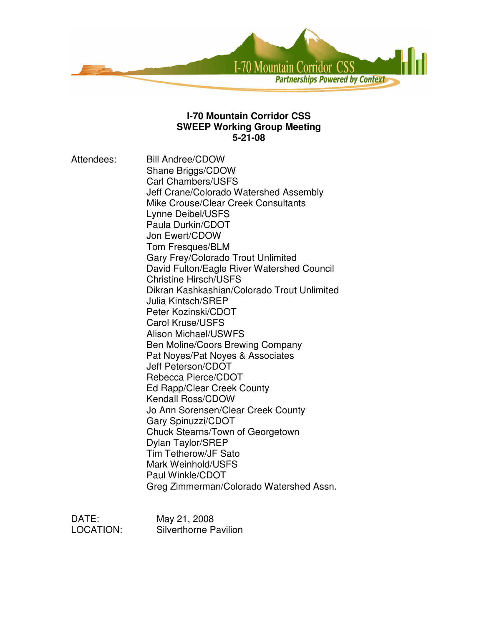

#### **I-70 Mountain Corridor CSS SWEEP Working Group Meeting 5-21-08**

Attendees: Bill Andree/CDOW Shane Briggs/CDOW Carl Chambers/USFS Jeff Crane/Colorado Watershed Assembly Mike Crouse/Clear Creek Consultants Lynne Deibel/USFS Paula Durkin/CDOT Jon Ewert/CDOW Tom Fresques/BLM Gary Frey/Colorado Trout Unlimited David Fulton/Eagle River Watershed Council Christine Hirsch/USFS Dikran Kashkashian/Colorado Trout Unlimited Julia Kintsch/SREP Peter Kozinski/CDOT Carol Kruse/USFS Alison Michael/USWFS Ben Moline/Coors Brewing Company Pat Noyes/Pat Noyes & Associates Jeff Peterson/CDOT Rebecca Pierce/CDOT Ed Rapp/Clear Creek County Kendall Ross/CDOW Jo Ann Sorensen/Clear Creek County Gary Spinuzzi/CDOT Chuck Stearns/Town of Georgetown Dylan Taylor/SREP Tim Tetherow/JF Sato Mark Weinhold/USFS Paul Winkle/CDOT Greg Zimmerman/Colorado Watershed Assn.

DATE: May 21, 2008 LOCATION: Silverthorne Pavilion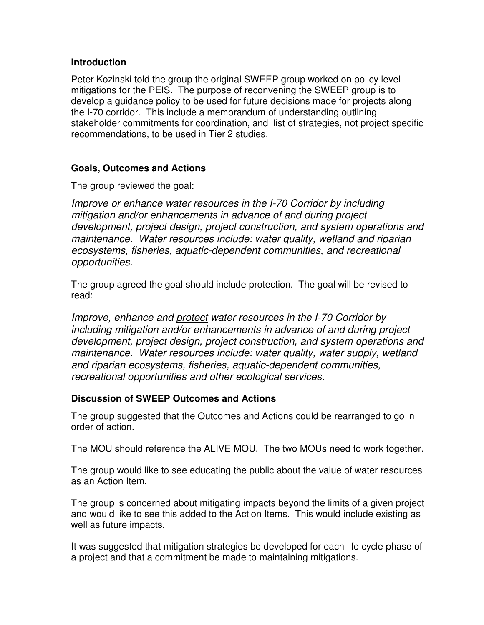### **Introduction**

Peter Kozinski told the group the original SWEEP group worked on policy level mitigations for the PEIS. The purpose of reconvening the SWEEP group is to develop a guidance policy to be used for future decisions made for projects along the I-70 corridor. This include a memorandum of understanding outlining stakeholder commitments for coordination, and list of strategies, not project specific recommendations, to be used in Tier 2 studies.

## **Goals, Outcomes and Actions**

The group reviewed the goal:

*Improve or enhance water resources in the I-70 Corridor by including mitigation and/or enhancements in advance of and during project development, project design, project construction, and system operations and maintenance. Water resources include: water quality, wetland and riparian ecosystems, fisheries, aquatic-dependent communities, and recreational opportunities.*

The group agreed the goal should include protection. The goal will be revised to read:

*Improve, enhance and protect water resources in the I-70 Corridor by including mitigation and/or enhancements in advance of and during project development, project design, project construction, and system operations and maintenance. Water resources include: water quality, water supply, wetland and riparian ecosystems, fisheries, aquatic-dependent communities, recreational opportunities and other ecological services.*

### **Discussion of SWEEP Outcomes and Actions**

The group suggested that the Outcomes and Actions could be rearranged to go in order of action.

The MOU should reference the ALIVE MOU. The two MOUs need to work together.

The group would like to see educating the public about the value of water resources as an Action Item.

The group is concerned about mitigating impacts beyond the limits of a given project and would like to see this added to the Action Items. This would include existing as well as future impacts.

It was suggested that mitigation strategies be developed for each life cycle phase of a project and that a commitment be made to maintaining mitigations.